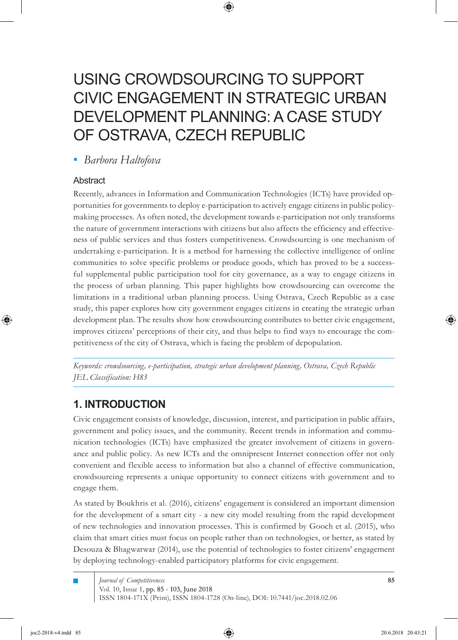# USING CROWDSOURCING TO SUPPORT CIVIC ENGAGEMENT IN STRATEGIC URBAN DEVELOPMENT PLANNING: A CASE STUDY OF OSTRAVA, CZECH REPUBLIC

⊕

*Barbora Haltofova ▪*

### Abstract

⊕

Recently, advances in Information and Communication Technologies (ICTs) have provided opportunities for governments to deploy e-participation to actively engage citizens in public policymaking processes. As often noted, the development towards e-participation not only transforms the nature of government interactions with citizens but also affects the efficiency and effectiveness of public services and thus fosters competitiveness. Crowdsourcing is one mechanism of undertaking e-participation. It is a method for harnessing the collective intelligence of online communities to solve specific problems or produce goods, which has proved to be a successful supplemental public participation tool for city governance, as a way to engage citizens in the process of urban planning. This paper highlights how crowdsourcing can overcome the limitations in a traditional urban planning process. Using Ostrava, Czech Republic as a case study, this paper explores how city government engages citizens in creating the strategic urban development plan. The results show how crowdsourcing contributes to better civic engagement, improves citizens' perceptions of their city, and thus helps to find ways to encourage the competitiveness of the city of Ostrava, which is facing the problem of depopulation.

*Keywords: crowdsourcing, e-participation, strategic urban development planning, Ostrava, Czech Republic JEL Classification: H83*

## **1. INTRODUCTION**

Civic engagement consists of knowledge, discussion, interest, and participation in public affairs, government and policy issues, and the community. Recent trends in information and communication technologies (ICTs) have emphasized the greater involvement of citizens in governance and public policy. As new ICTs and the omnipresent Internet connection offer not only convenient and flexible access to information but also a channel of effective communication, crowdsourcing represents a unique opportunity to connect citizens with government and to engage them.

As stated by Boukhris et al. (2016), citizens' engagement is considered an important dimension for the development of a smart city - a new city model resulting from the rapid development of new technologies and innovation processes. This is confirmed by Gooch et al. (2015), who claim that smart cities must focus on people rather than on technologies, or better, as stated by Desouza & Bhagwatwar (2014), use the potential of technologies to foster citizens' engagement by deploying technology-enabled participatory platforms for civic engagement.

Vol. 10, Issue 1, pp. 85 - 103, June 2018 ISSN 1804-171X (Print), ISSN 1804-1728 (On-line), DOI: 10.7441/joc.2018.02.06 *Journal of Competitiveness*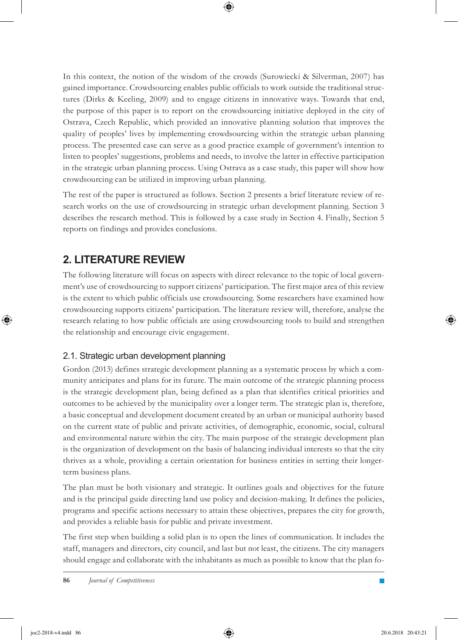In this context, the notion of the wisdom of the crowds (Surowiecki & Silverman, 2007) has gained importance. Crowdsourcing enables public officials to work outside the traditional structures (Dirks & Keeling, 2009) and to engage citizens in innovative ways. Towards that end, the purpose of this paper is to report on the crowdsourcing initiative deployed in the city of Ostrava, Czech Republic, which provided an innovative planning solution that improves the quality of peoples' lives by implementing crowdsourcing within the strategic urban planning process. The presented case can serve as a good practice example of government's intention to listen to peoples' suggestions, problems and needs, to involve the latter in effective participation in the strategic urban planning process. Using Ostrava as a case study, this paper will show how crowdsourcing can be utilized in improving urban planning.

The rest of the paper is structured as follows. Section 2 presents a brief literature review of research works on the use of crowdsourcing in strategic urban development planning. Section 3 describes the research method. This is followed by a case study in Section 4. Finally, Section 5 reports on findings and provides conclusions.

# **2. LITERATURE REVIEW**

The following literature will focus on aspects with direct relevance to the topic of local government's use of crowdsourcing to support citizens' participation. The first major area of this review is the extent to which public officials use crowdsourcing. Some researchers have examined how crowdsourcing supports citizens' participation. The literature review will, therefore, analyse the research relating to how public officials are using crowdsourcing tools to build and strengthen the relationship and encourage civic engagement.

### 2.1. Strategic urban development planning

Gordon (2013) defines strategic development planning as a systematic process by which a community anticipates and plans for its future. The main outcome of the strategic planning process is the strategic development plan, being defined as a plan that identifies critical priorities and outcomes to be achieved by the municipality over a longer term. The strategic plan is, therefore, a basic conceptual and development document created by an urban or municipal authority based on the current state of public and private activities, of demographic, economic, social, cultural and environmental nature within the city. The main purpose of the strategic development plan is the organization of development on the basis of balancing individual interests so that the city thrives as a whole, providing a certain orientation for business entities in setting their longerterm business plans.

The plan must be both visionary and strategic. It outlines goals and objectives for the future and is the principal guide directing land use policy and decision-making. It defines the policies, programs and specific actions necessary to attain these objectives, prepares the city for growth, and provides a reliable basis for public and private investment.

The first step when building a solid plan is to open the lines of communication. It includes the staff, managers and directors, city council, and last but not least, the citizens. The city managers should engage and collaborate with the inhabitants as much as possible to know that the plan fo-

**86** *Journal of Competitiveness* 

↔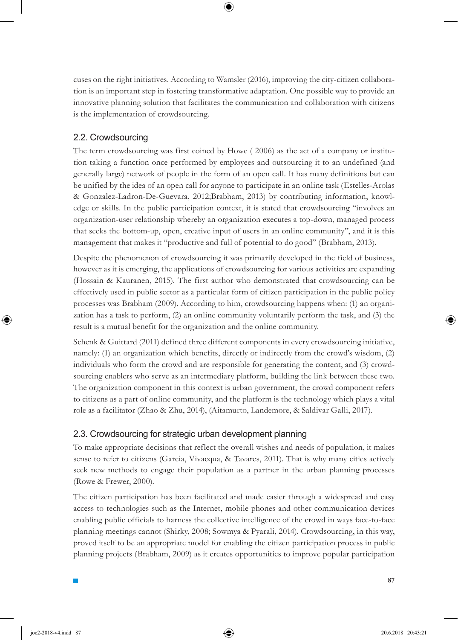cuses on the right initiatives. According to Wamsler (2016), improving the city-citizen collaboration is an important step in fostering transformative adaptation. One possible way to provide an innovative planning solution that facilitates the communication and collaboration with citizens is the implementation of crowdsourcing.

### 2.2. Crowdsourcing

The term crowdsourcing was first coined by Howe ( 2006) as the act of a company or institution taking a function once performed by employees and outsourcing it to an undefined (and generally large) network of people in the form of an open call. It has many definitions but can be unified by the idea of an open call for anyone to participate in an online task (Estelles-Arolas & Gonzalez-Ladron-De-Guevara, 2012;Brabham, 2013) by contributing information, knowledge or skills. In the public participation context, it is stated that crowdsourcing "involves an organization-user relationship whereby an organization executes a top-down, managed process that seeks the bottom-up, open, creative input of users in an online community", and it is this management that makes it "productive and full of potential to do good" (Brabham, 2013).

Despite the phenomenon of crowdsourcing it was primarily developed in the field of business, however as it is emerging, the applications of crowdsourcing for various activities are expanding (Hossain & Kauranen, 2015). The first author who demonstrated that crowdsourcing can be effectively used in public sector as a particular form of citizen participation in the public policy processes was Brabham (2009). According to him, crowdsourcing happens when: (1) an organization has a task to perform, (2) an online community voluntarily perform the task, and (3) the result is a mutual benefit for the organization and the online community.

Schenk & Guittard (2011) defined three different components in every crowdsourcing initiative, namely: (1) an organization which benefits, directly or indirectly from the crowd's wisdom, (2) individuals who form the crowd and are responsible for generating the content, and (3) crowdsourcing enablers who serve as an intermediary platform, building the link between these two. The organization component in this context is urban government, the crowd component refers to citizens as a part of online community, and the platform is the technology which plays a vital role as a facilitator (Zhao & Zhu, 2014), (Aitamurto, Landemore, & Saldivar Galli, 2017).

### 2.3. Crowdsourcing for strategic urban development planning

To make appropriate decisions that reflect the overall wishes and needs of population, it makes sense to refer to citizens (Garcia, Vivacqua, & Tavares, 2011). That is why many cities actively seek new methods to engage their population as a partner in the urban planning processes (Rowe & Frewer, 2000).

The citizen participation has been facilitated and made easier through a widespread and easy access to technologies such as the Internet, mobile phones and other communication devices enabling public officials to harness the collective intelligence of the crowd in ways face-to-face planning meetings cannot (Shirky, 2008; Sowmya & Pyarali, 2014). Crowdsourcing, in this way, proved itself to be an appropriate model for enabling the citizen participation process in public planning projects (Brabham, 2009) as it creates opportunities to improve popular participation

**87**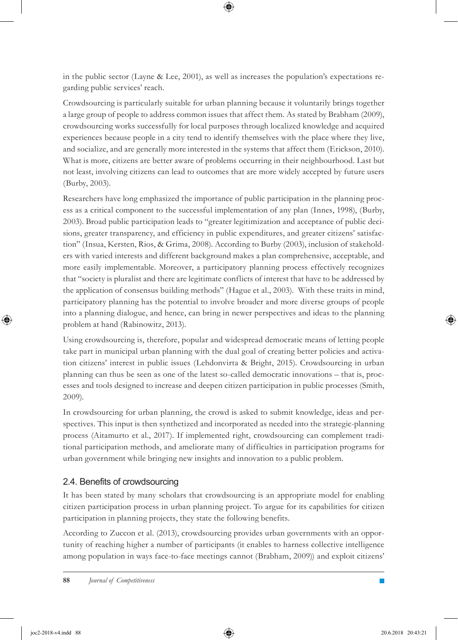in the public sector (Layne & Lee, 2001), as well as increases the population's expectations regarding public services' reach.

Crowdsourcing is particularly suitable for urban planning because it voluntarily brings together a large group of people to address common issues that affect them. As stated by Brabham (2009), crowdsourcing works successfully for local purposes through localized knowledge and acquired experiences because people in a city tend to identify themselves with the place where they live, and socialize, and are generally more interested in the systems that affect them (Erickson, 2010). What is more, citizens are better aware of problems occurring in their neighbourhood. Last but not least, involving citizens can lead to outcomes that are more widely accepted by future users (Burby, 2003).

Researchers have long emphasized the importance of public participation in the planning process as a critical component to the successful implementation of any plan (Innes, 1998), (Burby, 2003). Broad public participation leads to "greater legitimization and acceptance of public decisions, greater transparency, and efficiency in public expenditures, and greater citizens' satisfaction" (Insua, Kersten, Rios, & Grima, 2008). According to Burby (2003), inclusion of stakeholders with varied interests and different background makes a plan comprehensive, acceptable, and more easily implementable. Moreover, a participatory planning process effectively recognizes that "society is pluralist and there are legitimate conflicts of interest that have to be addressed by the application of consensus building methods" (Hague et al., 2003). With these traits in mind, participatory planning has the potential to involve broader and more diverse groups of people into a planning dialogue, and hence, can bring in newer perspectives and ideas to the planning problem at hand (Rabinowitz, 2013).

Using crowdsourcing is, therefore, popular and widespread democratic means of letting people take part in municipal urban planning with the dual goal of creating better policies and activation citizens' interest in public issues (Lehdonvirta & Bright, 2015). Crowdsourcing in urban planning can thus be seen as one of the latest so-called democratic innovations – that is, processes and tools designed to increase and deepen citizen participation in public processes (Smith, 2009).

In crowdsourcing for urban planning, the crowd is asked to submit knowledge, ideas and perspectives. This input is then synthetized and incorporated as needed into the strategic-planning process (Aitamurto et al., 2017). If implemented right, crowdsourcing can complement traditional participation methods, and ameliorate many of difficulties in participation programs for urban government while bringing new insights and innovation to a public problem.

### 2.4. Benefits of crowdsourcing

It has been stated by many scholars that crowdsourcing is an appropriate model for enabling citizen participation process in urban planning project. To argue for its capabilities for citizen participation in planning projects, they state the following benefits.

According to Zuccon et al. (2013), crowdsourcing provides urban governments with an opportunity of reaching higher a number of participants (it enables to harness collective intelligence among population in ways face-to-face meetings cannot (Brabham, 2009)) and exploit citizens'

⊕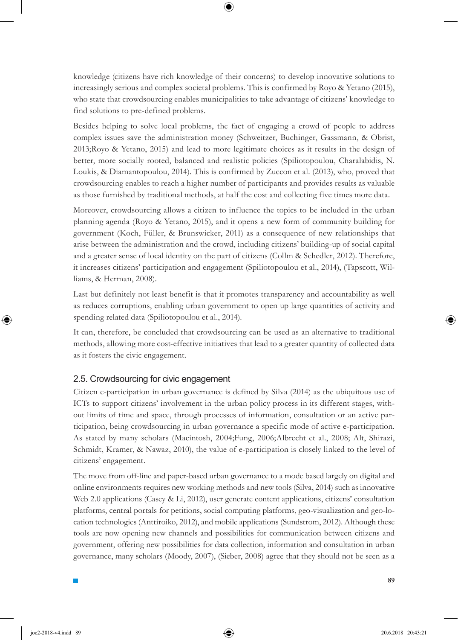knowledge (citizens have rich knowledge of their concerns) to develop innovative solutions to increasingly serious and complex societal problems. This is confirmed by Royo & Yetano (2015), who state that crowdsourcing enables municipalities to take advantage of citizens' knowledge to find solutions to pre-defined problems.

Besides helping to solve local problems, the fact of engaging a crowd of people to address complex issues save the administration money (Schweitzer, Buchinger, Gassmann, & Obrist, 2013;Royo & Yetano, 2015) and lead to more legitimate choices as it results in the design of better, more socially rooted, balanced and realistic policies (Spiliotopoulou, Charalabidis, N. Loukis, & Diamantopoulou, 2014). This is confirmed by Zuccon et al. (2013), who, proved that crowdsourcing enables to reach a higher number of participants and provides results as valuable as those furnished by traditional methods, at half the cost and collecting five times more data.

Moreover, crowdsourcing allows a citizen to influence the topics to be included in the urban planning agenda (Royo & Yetano, 2015), and it opens a new form of community building for government (Koch, Füller, & Brunswicker, 2011) as a consequence of new relationships that arise between the administration and the crowd, including citizens' building-up of social capital and a greater sense of local identity on the part of citizens (Collm & Schedler, 2012). Therefore, it increases citizens' participation and engagement (Spiliotopoulou et al., 2014), (Tapscott, Williams, & Herman, 2008).

Last but definitely not least benefit is that it promotes transparency and accountability as well as reduces corruptions, enabling urban government to open up large quantities of activity and spending related data (Spiliotopoulou et al., 2014).

It can, therefore, be concluded that crowdsourcing can be used as an alternative to traditional methods, allowing more cost-effective initiatives that lead to a greater quantity of collected data as it fosters the civic engagement.

### 2.5. Crowdsourcing for civic engagement

Citizen e-participation in urban governance is defined by Silva (2014) as the ubiquitous use of ICTs to support citizens' involvement in the urban policy process in its different stages, without limits of time and space, through processes of information, consultation or an active participation, being crowdsourcing in urban governance a specific mode of active e-participation. As stated by many scholars (Macintosh, 2004;Fung, 2006;Albrecht et al., 2008; Alt, Shirazi, Schmidt, Kramer, & Nawaz, 2010), the value of e-participation is closely linked to the level of citizens' engagement.

The move from off-line and paper-based urban governance to a mode based largely on digital and online environments requires new working methods and new tools (Silva, 2014) such as innovative Web 2.0 applications (Casey & Li, 2012), user generate content applications, citizens' consultation platforms, central portals for petitions, social computing platforms, geo-visualization and geo-location technologies (Anttiroiko, 2012), and mobile applications (Sundstrom, 2012). Although these tools are now opening new channels and possibilities for communication between citizens and government, offering new possibilities for data collection, information and consultation in urban governance, many scholars (Moody, 2007), (Sieber, 2008) agree that they should not be seen as a

**89**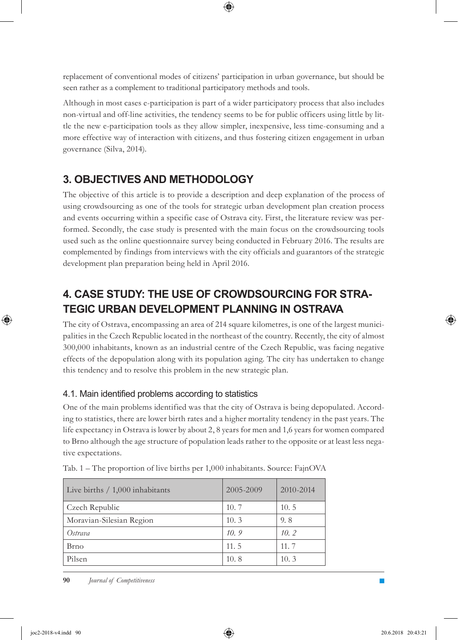replacement of conventional modes of citizens' participation in urban governance, but should be seen rather as a complement to traditional participatory methods and tools.

Although in most cases e-participation is part of a wider participatory process that also includes non-virtual and off-line activities, the tendency seems to be for public officers using little by little the new e-participation tools as they allow simpler, inexpensive, less time-consuming and a more effective way of interaction with citizens, and thus fostering citizen engagement in urban governance (Silva, 2014).

# **3. OBJECTIVES AND METHODOLOGY**

The objective of this article is to provide a description and deep explanation of the process of using crowdsourcing as one of the tools for strategic urban development plan creation process and events occurring within a specific case of Ostrava city. First, the literature review was performed. Secondly, the case study is presented with the main focus on the crowdsourcing tools used such as the online questionnaire survey being conducted in February 2016. The results are complemented by findings from interviews with the city officials and guarantors of the strategic development plan preparation being held in April 2016.

# **4. CASE STUDY: THE USE OF CROWDSOURCING FOR STRA-TEGIC URBAN DEVELOPMENT PLANNING IN OSTRAVA**

The city of Ostrava, encompassing an area of 214 square kilometres, is one of the largest municipalities in the Czech Republic located in the northeast of the country. Recently, the city of almost 300,000 inhabitants, known as an industrial centre of the Czech Republic, was facing negative effects of the depopulation along with its population aging. The city has undertaken to change this tendency and to resolve this problem in the new strategic plan.

### 4.1. Main identified problems according to statistics

One of the main problems identified was that the city of Ostrava is being depopulated. According to statistics, there are lower birth rates and a higher mortality tendency in the past years. The life expectancy in Ostrava is lower by about 2, 8 years for men and 1,6 years for women compared to Brno although the age structure of population leads rather to the opposite or at least less negative expectations.

| Live births / 1,000 inhabitants | 2005-2009 | 2010-2014 |
|---------------------------------|-----------|-----------|
| Czech Republic                  | 10.7      | 10.5      |
| Moravian-Silesian Region        | 10.3      | 9.8       |
| Ostrava                         | 10.9      | 10.2      |
| Brno                            | 11.5      | 11.7      |
| Pilsen                          | 10.8      | 10.3      |

Tab. 1 – The proportion of live births per 1,000 inhabitants. Source: FajnOVA

**90** *Journal of Competitiveness* 

⊕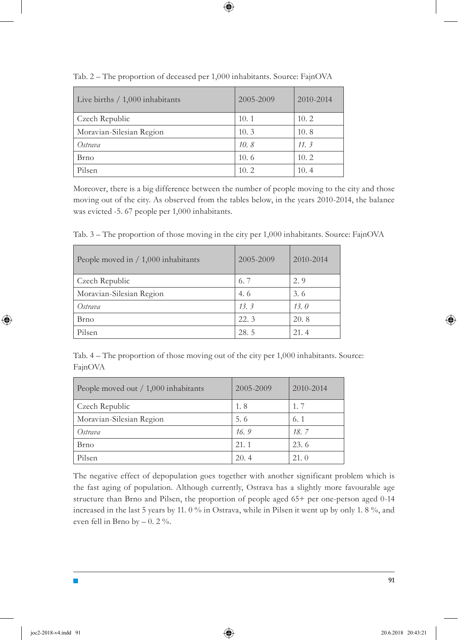| Live births $/ 1,000$ inhabitants | 2005-2009 | 2010-2014 |
|-----------------------------------|-----------|-----------|
| Czech Republic                    | 10.1      | 10.2      |
| Moravian-Silesian Region          | 10.3      | 10.8      |
| Ostrava                           | 10.8      | 11.3      |
| Brno                              | 10.6      | 10.2      |
| Pilsen                            | 10.2      | 10.4      |

Tab. 2 – The proportion of deceased per 1,000 inhabitants. Source: FajnOVA

 $\bm{\Theta}$ 

Moreover, there is a big difference between the number of people moving to the city and those moving out of the city. As observed from the tables below, in the years 2010-2014, the balance was evicted -5. 67 people per 1,000 inhabitants.

Tab. 3 – The proportion of those moving in the city per 1,000 inhabitants. Source: FajnOVA

| People moved in $/ 1,000$ inhabitants | 2005-2009 | 2010-2014 |
|---------------------------------------|-----------|-----------|
| Czech Republic                        | 6.7       | 2.9       |
| Moravian-Silesian Region              | 4.6       | 3.6       |
| Ostrava                               | 13.3      | 13.0      |
| Brno                                  | 22.3      | 20.8      |
| Pilsen                                | 28.5      | 21.4      |

Tab. 4 – The proportion of those moving out of the city per 1,000 inhabitants. Source: FajnOVA

| People moved out $/ 1,000$ inhabitants | 2005-2009 | 2010-2014 |
|----------------------------------------|-----------|-----------|
| Czech Republic                         | 1.8       | 1, 7      |
| Moravian-Silesian Region               | 5.6       | 6.1       |
| Ostrava                                | 16.9      | 18.7      |
| Brno                                   | 21.1      | 23.6      |
| Pilsen                                 | 20.4      | 21.0      |

The negative effect of depopulation goes together with another significant problem which is the fast aging of population. Although currently, Ostrava has a slightly more favourable age structure than Brno and Pilsen, the proportion of people aged 65+ per one-person aged 0-14 increased in the last 5 years by 11. 0 % in Ostrava, while in Pilsen it went up by only 1. 8 %, and even fell in Brno by  $-0.2\%$ .

**91**

⊕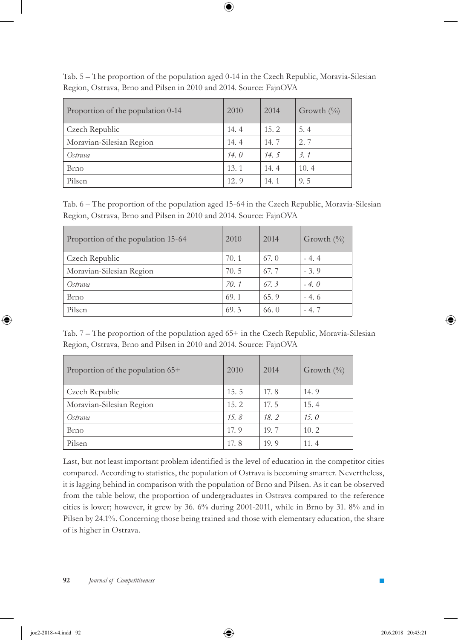Tab. 5 – The proportion of the population aged 0-14 in the Czech Republic, Moravia-Silesian Region, Ostrava, Brno and Pilsen in 2010 and 2014. Source: FajnOVA

 $\bm \Theta$ 

| Proportion of the population 0-14 | 2010 | 2014 | Growth $\binom{0}{0}$ |
|-----------------------------------|------|------|-----------------------|
| Czech Republic                    | 14.4 | 15.2 | 5.4                   |
| Moravian-Silesian Region          | 14.4 | 14.7 | 2.7                   |
| Ostrava                           | 14.0 | 14.5 | 3.1                   |
| Brno                              | 13.1 | 14.4 | 10.4                  |
| Pilsen                            | 12.9 | 14.1 | 9.5                   |

Tab. 6 – The proportion of the population aged 15-64 in the Czech Republic, Moravia-Silesian Region, Ostrava, Brno and Pilsen in 2010 and 2014. Source: FajnOVA

| Proportion of the population 15-64 | 2010 | 2014 | Growth $\left(\frac{0}{0}\right)$ |
|------------------------------------|------|------|-----------------------------------|
| Czech Republic                     | 70.1 | 67.0 | $-4.4$                            |
| Moravian-Silesian Region           | 70.5 | 67.7 | $-3.9$                            |
| Ostrava                            | 70.1 | 67.3 | $-4.0$                            |
| Brno                               | 69.1 | 65.9 | $-4.6$                            |
| Pilsen                             | 69.3 | 66.0 | $-4.7$                            |

Tab. 7 – The proportion of the population aged 65+ in the Czech Republic, Moravia-Silesian Region, Ostrava, Brno and Pilsen in 2010 and 2014. Source: FajnOVA

| Proportion of the population 65+ | 2010 | 2014 | Growth $(\%)$ |
|----------------------------------|------|------|---------------|
| Czech Republic                   | 15.5 | 17.8 | 14.9          |
| Moravian-Silesian Region         | 15.2 | 17.5 | 15.4          |
| Ostrava                          | 15.8 | 18.2 | 15.0          |
| Brno                             | 17.9 | 19.7 | 10.2          |
| Pilsen                           | 17.8 | 19.9 | 11.4          |

Last, but not least important problem identified is the level of education in the competitor cities compared. According to statistics, the population of Ostrava is becoming smarter. Nevertheless, it is lagging behind in comparison with the population of Brno and Pilsen. As it can be observed from the table below, the proportion of undergraduates in Ostrava compared to the reference cities is lower; however, it grew by 36. 6% during 2001-2011, while in Brno by 31. 8% and in Pilsen by 24.1%. Concerning those being trained and those with elementary education, the share of is higher in Ostrava.

⊕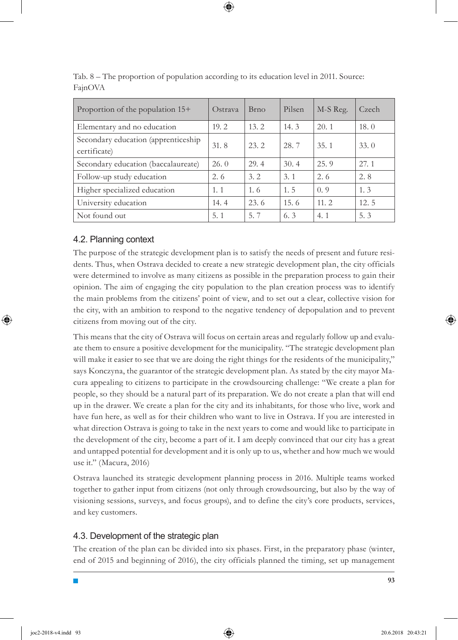| Proportion of the population 15+                    | Ostrava | <b>Brno</b> | Pilsen | M-S Reg. | Czech |
|-----------------------------------------------------|---------|-------------|--------|----------|-------|
| Elementary and no education                         | 19.2    | 13.2        | 14.3   | 20.1     | 18.0  |
| Secondary education (apprenticeship<br>certificate) | 31.8    | 23.2        | 28.7   | 35.1     | 33.0  |
| Secondary education (baccalaureate)                 | 26.0    | 29.4        | 30.4   | 25.9     | 27.1  |
| Follow-up study education                           | 2.6     | 3.2         | 3.1    | 2.6      | 2.8   |
| Higher specialized education                        | 1.1     | 1.6         | 1.5    | (0, 9)   | 1.3   |
| University education                                | 14.4    | 23.6        | 15.6   | 11.2     | 12.5  |
| Not found out                                       | 5.1     | 5.7         | 6.3    | 4.1      | 5.3   |

Tab. 8 – The proportion of population according to its education level in 2011. Source: FajnOVA

### 4.2. Planning context

The purpose of the strategic development plan is to satisfy the needs of present and future residents. Thus, when Ostrava decided to create a new strategic development plan, the city officials were determined to involve as many citizens as possible in the preparation process to gain their opinion. The aim of engaging the city population to the plan creation process was to identify the main problems from the citizens' point of view, and to set out a clear, collective vision for the city, with an ambition to respond to the negative tendency of depopulation and to prevent citizens from moving out of the city.

This means that the city of Ostrava will focus on certain areas and regularly follow up and evaluate them to ensure a positive development for the municipality. "The strategic development plan will make it easier to see that we are doing the right things for the residents of the municipality," says Konczyna, the guarantor of the strategic development plan. As stated by the city mayor Macura appealing to citizens to participate in the crowdsourcing challenge: "We create a plan for people, so they should be a natural part of its preparation. We do not create a plan that will end up in the drawer. We create a plan for the city and its inhabitants, for those who live, work and have fun here, as well as for their children who want to live in Ostrava. If you are interested in what direction Ostrava is going to take in the next years to come and would like to participate in the development of the city, become a part of it. I am deeply convinced that our city has a great and untapped potential for development and it is only up to us, whether and how much we would use it." (Macura, 2016)

Ostrava launched its strategic development planning process in 2016. Multiple teams worked together to gather input from citizens (not only through crowdsourcing, but also by the way of visioning sessions, surveys, and focus groups), and to define the city's core products, services, and key customers.

### 4.3. Development of the strategic plan

The creation of the plan can be divided into six phases. First, in the preparatory phase (winter, end of 2015 and beginning of 2016), the city officials planned the timing, set up management

⊕

**93**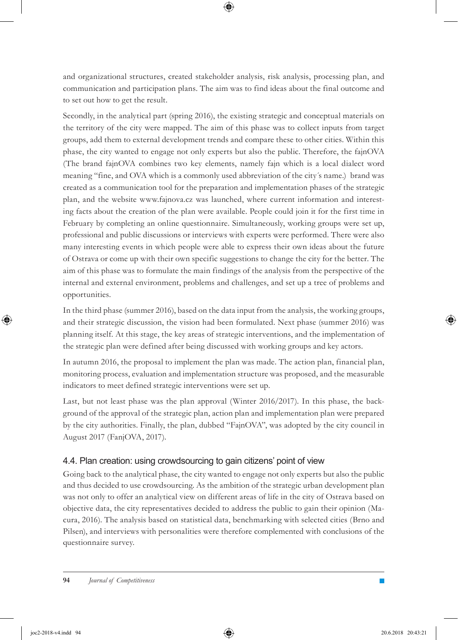and organizational structures, created stakeholder analysis, risk analysis, processing plan, and communication and participation plans. The aim was to find ideas about the final outcome and to set out how to get the result.

Secondly, in the analytical part (spring 2016), the existing strategic and conceptual materials on the territory of the city were mapped. The aim of this phase was to collect inputs from target groups, add them to external development trends and compare these to other cities. Within this phase, the city wanted to engage not only experts but also the public. Therefore, the fajnOVA (The brand fajnOVA combines two key elements, namely fajn which is a local dialect word meaning "fine, and OVA which is a commonly used abbreviation of the city´s name.) brand was created as a communication tool for the preparation and implementation phases of the strategic plan, and the website www.fajnova.cz was launched, where current information and interesting facts about the creation of the plan were available. People could join it for the first time in February by completing an online questionnaire. Simultaneously, working groups were set up, professional and public discussions or interviews with experts were performed. There were also many interesting events in which people were able to express their own ideas about the future of Ostrava or come up with their own specific suggestions to change the city for the better. The aim of this phase was to formulate the main findings of the analysis from the perspective of the internal and external environment, problems and challenges, and set up a tree of problems and opportunities.

In the third phase (summer 2016), based on the data input from the analysis, the working groups, and their strategic discussion, the vision had been formulated. Next phase (summer 2016) was planning itself. At this stage, the key areas of strategic interventions, and the implementation of the strategic plan were defined after being discussed with working groups and key actors.

In autumn 2016, the proposal to implement the plan was made. The action plan, financial plan, monitoring process, evaluation and implementation structure was proposed, and the measurable indicators to meet defined strategic interventions were set up.

Last, but not least phase was the plan approval (Winter 2016/2017). In this phase, the background of the approval of the strategic plan, action plan and implementation plan were prepared by the city authorities. Finally, the plan, dubbed "FajnOVA", was adopted by the city council in August 2017 (FanjOVA, 2017).

### 4.4. Plan creation: using crowdsourcing to gain citizens' point of view

Going back to the analytical phase, the city wanted to engage not only experts but also the public and thus decided to use crowdsourcing. As the ambition of the strategic urban development plan was not only to offer an analytical view on different areas of life in the city of Ostrava based on objective data, the city representatives decided to address the public to gain their opinion (Macura, 2016). The analysis based on statistical data, benchmarking with selected cities (Brno and Pilsen), and interviews with personalities were therefore complemented with conclusions of the questionnaire survey.

**94** *Journal of Competitiveness*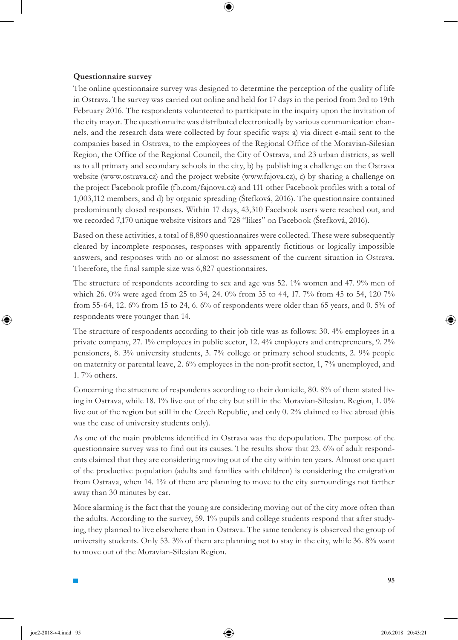#### **Questionnaire survey**

The online questionnaire survey was designed to determine the perception of the quality of life in Ostrava. The survey was carried out online and held for 17 days in the period from 3rd to 19th February 2016. The respondents volunteered to participate in the inquiry upon the invitation of the city mayor. The questionnaire was distributed electronically by various communication channels, and the research data were collected by four specific ways: a) via direct e-mail sent to the companies based in Ostrava, to the employees of the Regional Office of the Moravian-Silesian Region, the Office of the Regional Council, the City of Ostrava, and 23 urban districts, as well as to all primary and secondary schools in the city, b) by publishing a challenge on the Ostrava website (www.ostrava.cz) and the project website (www.fajova.cz), c) by sharing a challenge on the project Facebook profile (fb.com/fajnova.cz) and 111 other Facebook profiles with a total of 1,003,112 members, and d) by organic spreading (Štefková, 2016). The questionnaire contained predominantly closed responses. Within 17 days, 43,310 Facebook users were reached out, and we recorded 7,170 unique website visitors and 728 "likes" on Facebook (Štefková, 2016).

Based on these activities, a total of 8,890 questionnaires were collected. These were subsequently cleared by incomplete responses, responses with apparently fictitious or logically impossible answers, and responses with no or almost no assessment of the current situation in Ostrava. Therefore, the final sample size was 6,827 questionnaires.

The structure of respondents according to sex and age was 52. 1% women and 47. 9% men of which 26. 0% were aged from 25 to 34, 24. 0% from 35 to 44, 17. 7% from 45 to 54, 120 7% from 55-64, 12. 6% from 15 to 24, 6. 6% of respondents were older than 65 years, and 0. 5% of respondents were younger than 14.

The structure of respondents according to their job title was as follows: 30. 4% employees in a private company, 27. 1% employees in public sector, 12. 4% employers and entrepreneurs, 9. 2% pensioners, 8. 3% university students, 3. 7% college or primary school students, 2. 9% people on maternity or parental leave, 2.  $6\%$  employees in the non-profit sector, 1, 7% unemployed, and 1. 7% others.

Concerning the structure of respondents according to their domicile, 80. 8% of them stated living in Ostrava, while 18. 1% live out of the city but still in the Moravian-Silesian. Region, 1. 0% live out of the region but still in the Czech Republic, and only 0. 2% claimed to live abroad (this was the case of university students only).

As one of the main problems identified in Ostrava was the depopulation. The purpose of the questionnaire survey was to find out its causes. The results show that 23. 6% of adult respondents claimed that they are considering moving out of the city within ten years. Almost one quart of the productive population (adults and families with children) is considering the emigration from Ostrava, when 14. 1% of them are planning to move to the city surroundings not farther away than 30 minutes by car.

More alarming is the fact that the young are considering moving out of the city more often than the adults. According to the survey, 59. 1% pupils and college students respond that after studying, they planned to live elsewhere than in Ostrava. The same tendency is observed the group of university students. Only 53. 3% of them are planning not to stay in the city, while 36. 8% want to move out of the Moravian-Silesian Region.

**95**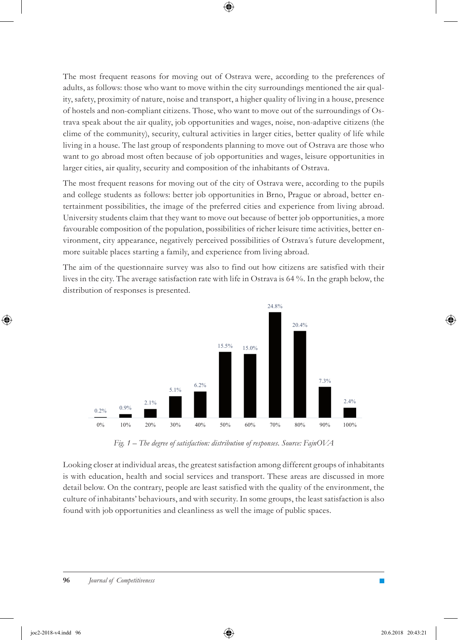The most frequent reasons for moving out of Ostrava were, according to the preferences of adults, as follows: those who want to move within the city surroundings mentioned the air quality, safety, proximity of nature, noise and transport, a higher quality of living in a house, presence of hostels and non-compliant citizens. Those, who want to move out of the surroundings of Ostrava speak about the air quality, job opportunities and wages, noise, non-adaptive citizens (the clime of the community), security, cultural activities in larger cities, better quality of life while living in a house. The last group of respondents planning to move out of Ostrava are those who want to go abroad most often because of job opportunities and wages, leisure opportunities in larger cities, air quality, security and composition of the inhabitants of Ostrava.

 $\bm{\Theta}$ 

The most frequent reasons for moving out of the city of Ostrava were, according to the pupils and college students as follows: better job opportunities in Brno, Prague or abroad, better entertainment possibilities, the image of the preferred cities and experience from living abroad. University students claim that they want to move out because of better job opportunities, a more favourable composition of the population, possibilities of richer leisure time activities, better environment, city appearance, negatively perceived possibilities of Ostrava´s future development, more suitable places starting a family, and experience from living abroad.

The aim of the questionnaire survey was also to find out how citizens are satisfied with their lives in the city. The average satisfaction rate with life in Ostrava is 64 %. In the graph below, the distribution of responses is presented.



*Fig. 1 – The degree of satisfaction: distribution of responses. Source: FajnOVA*

Looking closer at individual areas, the greatest satisfaction among different groups of inhabitants is with education, health and social services and transport. These areas are discussed in more detail below. On the contrary, people are least satisfied with the quality of the environment, the culture of inhabitants' behaviours, and with security. In some groups, the least satisfaction is also found with job opportunities and cleanliness as well the image of public spaces.

⊕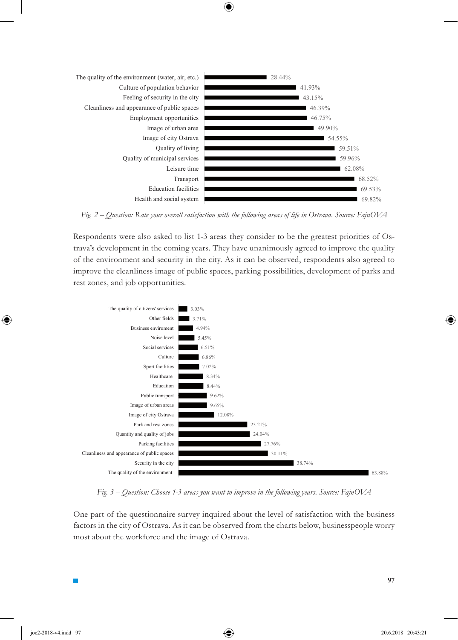

 $\mathbf \Theta$ 



Respondents were also asked to list 1-3 areas they consider to be the greatest priorities of Ostrava's development in the coming years. They have unanimously agreed to improve the quality of the environment and security in the city. As it can be observed, respondents also agreed to improve the cleanliness image of public spaces, parking possibilities, development of parks and rest zones, and job opportunities.



*Fig. 3 – Question: Choose 1-3 areas you want to improve in the following years. Source: FajnOVA*

One part of the questionnaire survey inquired about the level of satisfaction with the business factors in the city of Ostrava. As it can be observed from the charts below, businesspeople worry most about the workforce and the image of Ostrava.

⊕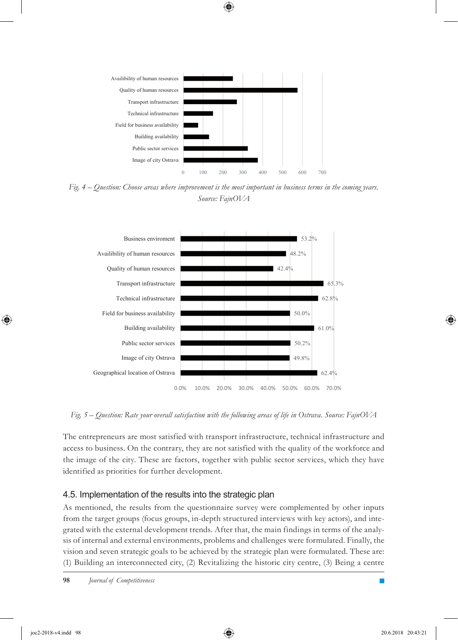

⊕

*Fig. 4 – Question: Choose areas where improvement is the most important in business terms in the coming years. Source: FajnOVA*



*Fig. 5 – Question: Rate your overall satisfaction with the following areas of life in Ostrava. Source: FajnOVA*

The entrepreneurs are most satisfied with transport infrastructure, technical infrastructure and access to business. On the contrary, they are not satisfied with the quality of the workforce and the image of the city. These are factors, together with public sector services, which they have identified as priorities for further development.

### 4.5. Implementation of the results into the strategic plan

As mentioned, the results from the questionnaire survey were complemented by other inputs from the target groups (focus groups, in-depth structured interviews with key actors), and integrated with the external development trends. After that, the main findings in terms of the analysis of internal and external environments, problems and challenges were formulated. Finally, the vision and seven strategic goals to be achieved by the strategic plan were formulated. These are: (1) Building an interconnected city, (2) Revitalizing the historic city centre, (3) Being a centre

joc2-2018-v4.indd 98 20.6.2018 20:43:21

↔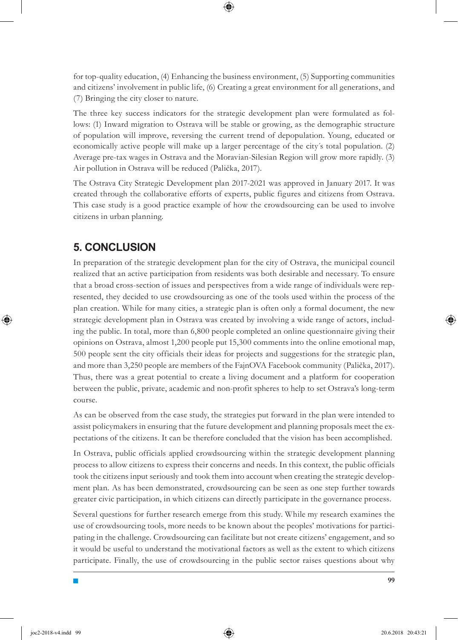for top-quality education, (4) Enhancing the business environment, (5) Supporting communities and citizens' involvement in public life, (6) Creating a great environment for all generations, and (7) Bringing the city closer to nature.

The three key success indicators for the strategic development plan were formulated as follows: (1) Inward migration to Ostrava will be stable or growing, as the demographic structure of population will improve, reversing the current trend of depopulation. Young, educated or economically active people will make up a larger percentage of the city´s total population. (2) Average pre-tax wages in Ostrava and the Moravian-Silesian Region will grow more rapidly. (3) Air pollution in Ostrava will be reduced (Palička, 2017).

The Ostrava City Strategic Development plan 2017-2021 was approved in January 2017. It was created through the collaborative efforts of experts, public figures and citizens from Ostrava. This case study is a good practice example of how the crowdsourcing can be used to involve citizens in urban planning.

### **5. CONCLUSION**

In preparation of the strategic development plan for the city of Ostrava, the municipal council realized that an active participation from residents was both desirable and necessary. To ensure that a broad cross-section of issues and perspectives from a wide range of individuals were represented, they decided to use crowdsourcing as one of the tools used within the process of the plan creation. While for many cities, a strategic plan is often only a formal document, the new strategic development plan in Ostrava was created by involving a wide range of actors, including the public. In total, more than 6,800 people completed an online questionnaire giving their opinions on Ostrava, almost 1,200 people put 15,300 comments into the online emotional map, 500 people sent the city officials their ideas for projects and suggestions for the strategic plan, and more than 3,250 people are members of the FajnOVA Facebook community (Palička, 2017). Thus, there was a great potential to create a living document and a platform for cooperation between the public, private, academic and non-profit spheres to help to set Ostrava's long-term course.

As can be observed from the case study, the strategies put forward in the plan were intended to assist policymakers in ensuring that the future development and planning proposals meet the expectations of the citizens. It can be therefore concluded that the vision has been accomplished.

In Ostrava, public officials applied crowdsourcing within the strategic development planning process to allow citizens to express their concerns and needs. In this context, the public officials took the citizens input seriously and took them into account when creating the strategic development plan. As has been demonstrated, crowdsourcing can be seen as one step further towards greater civic participation, in which citizens can directly participate in the governance process.

Several questions for further research emerge from this study. While my research examines the use of crowdsourcing tools, more needs to be known about the peoples' motivations for participating in the challenge. Crowdsourcing can facilitate but not create citizens' engagement, and so it would be useful to understand the motivational factors as well as the extent to which citizens participate. Finally, the use of crowdsourcing in the public sector raises questions about why

**99**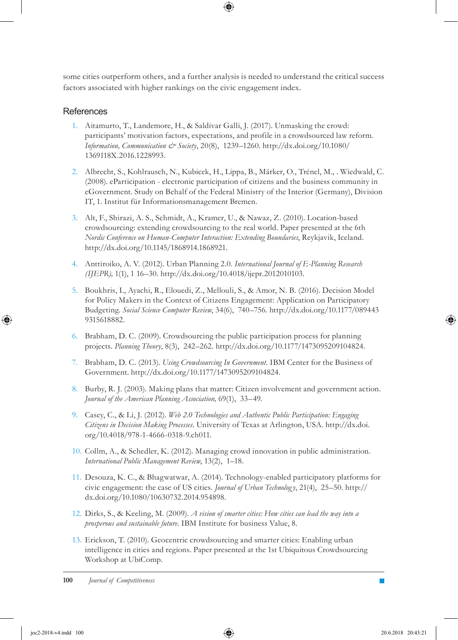some cities outperform others, and a further analysis is needed to understand the critical success factors associated with higher rankings on the civic engagement index.

### References

- 1. Aitamurto, T., Landemore, H., & Saldivar Galli, J. (2017). Unmasking the crowd: participants' motivation factors, expectations, and profile in a crowdsourced law reform. *Information, Communication & Society*, 20(8), 1239–1260. http://dx.doi.org/10.1080/ 1369118X.2016.1228993.
- 2. Albrecht, S., Kohlrausch, N., Kubicek, H., Lippa, B., Märker, O., Trénel, M., . Wiedwald, C. (2008). eParticipation - electronic participation of citizens and the business community in eGovernment. Study on Behalf of the Federal Ministry of the Interior (Germany), Division IT, 1. Institut für Informationsmanagement Bremen.
- Alt, F., Shirazi, A. S., Schmidt, A., Kramer, U., & Nawaz, Z. (2010). Location-based 3. crowdsourcing: extending crowdsourcing to the real world. Paper presented at the 6th *Nordic Conference on Human-Computer Interaction: Extending Boundaries*, Reykjavik, Iceland. http://dx.doi.org/10.1145/1868914.1868921.
- Anttiroiko, A. V. (2012). Urban Planning 2.0. *International Journal of E-Planning Research*  4. *(IJEPR),* 1(1), 1 16–30. http://dx.doi.org/10.4018/ijepr.2012010103.
- 5. Boukhris, I., Ayachi, R., Elouedi, Z., Mellouli, S., & Amor, N. B. (2016). Decision Model for Policy Makers in the Context of Citizens Engagement: Application on Participatory Budgeting. *Social Science Computer Review*, 34(6), 740–756. http://dx.doi.org/10.1177/089443 9315618882.
- 6. Brabham, D. C. (2009). Crowdsourcing the public participation process for planning projects. *Planning Theory*, 8(3), 242–262. http://dx.doi.org/10.1177/1473095209104824.
- Brabham, D. C. (2013). *Using Crowdsourcing In Government.* IBM Center for the Business of 7. Government. http://dx.doi.org/10.1177/1473095209104824.
- 8. Burby, R. J. (2003). Making plans that matter: Citizen involvement and government action. *Journal of the American Planning Association,* 69(1), 33–49.
- Casey, C., & Li, J. (2012). *Web 2.0 Technologies and Authentic Public Participation: Engaging*  9. *Citizens in Decision Making Processes.* University of Texas at Arlington, USA. http://dx.doi. org/10.4018/978-1-4666-0318-9.ch011.
- 10. Collm, A., & Schedler, K. (2012). Managing crowd innovation in public administration. *International Public Management Review*, 13(2), 1–18.
- 11. Desouza, K. C., & Bhagwatwar, A. (2014). Technology-enabled participatory platforms for civic engagement: the case of US cities. *Journal of Urban Technolog y*, 21(4), 25–50. http:// dx.doi.org/10.1080/10630732.2014.954898.
- Dirks, S., & Keeling, M. (2009). *A vision of smarter cities: How cities can lead the way into a*  12. *prosperous and sustainable future.* IBM Institute for business Value, 8.
- 13. Erickson, T. (2010). Geocentric crowdsourcing and smarter cities: Enabling urban intelligence in cities and regions. Paper presented at the 1st Ubiquitous Crowdsourcing Workshop at UbiComp.

**100** *Journal of Competitiveness*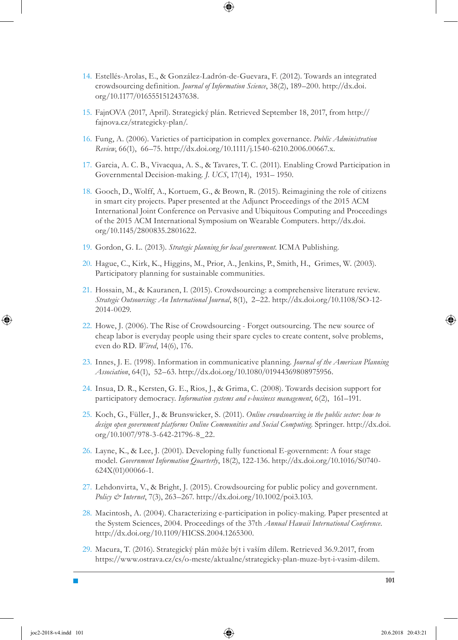- 14. Estellés-Arolas, E., & González-Ladrón-de-Guevara, F. (2012). Towards an integrated crowdsourcing definition. *Journal of Information Science*, 38(2), 189–200. http://dx.doi. org/10.1177/0165551512437638.
- 15. FajnOVA (2017, April). Strategický plán. Retrieved September 18, 2017, from http:// fajnova.cz/strategicky-plan/.
- Fung, A. (2006). Varieties of participation in complex governance. *Public Administration*  16. *Review*, 66(1), 66–75. http://dx.doi.org/10.1111/j.1540-6210.2006.00667.x.
- 17. Garcia, A. C. B., Vivacqua, A. S., & Tavares, T. C. (2011). Enabling Crowd Participation in Governmental Decision-making. *J. UCS*, 17(14), 1931– 1950.
- Gooch, D., Wolff, A., Kortuem, G., & Brown, R. (2015). Reimagining the role of citizens 18. in smart city projects. Paper presented at the Adjunct Proceedings of the 2015 ACM International Joint Conference on Pervasive and Ubiquitous Computing and Proceedings of the 2015 ACM International Symposium on Wearable Computers. http://dx.doi. org/10.1145/2800835.2801622.
- 19. Gordon, G. L. (2013). Strategic planning for local government. ICMA Publishing.
- 20. Hague, C., Kirk, K., Higgins, M., Prior, A., Jenkins, P., Smith, H., Grimes, W. (2003). Participatory planning for sustainable communities.
- 21. Hossain, M., & Kauranen, I. (2015). Crowdsourcing: a comprehensive literature review. *Strategic Outsourcing: An International Journal*, 8(1), 2–22. http://dx.doi.org/10.1108/SO-12- 2014-0029.
- 22. Howe, J. (2006). The Rise of Crowdsourcing Forget outsourcing. The new source of cheap labor is everyday people using their spare cycles to create content, solve problems, even do RD. *Wired*, 14(6), 176.
- 23. Innes, J. E. (1998). Information in communicative planning. *Journal of the American Planning Association*, 64(1), 52–63. http://dx.doi.org/10.1080/01944369808975956.
- 24. Insua, D. R., Kersten, G. E., Rios, J., & Grima, C. (2008). Towards decision support for participatory democracy. *Information systems and e-business management*, 6(2), 161–191.
- 25. Koch, G., Füller, J., & Brunswicker, S. (2011). *Online crowdsourcing in the public sector: how to design open government platforms Online Communities and Social Computing*. Springer. http://dx.doi. org/10.1007/978-3-642-21796-8\_22.
- 26. Layne, K., & Lee, J. (2001). Developing fully functional E-government: A four stage model. *Government Information Quarterly*, 18(2), 122-136. http://dx.doi.org/10.1016/S0740- 624X(01)00066-1.
- 27. Lehdonvirta, V., & Bright, J. (2015). Crowdsourcing for public policy and government. *Policy & Internet*, 7(3), 263–267. http://dx.doi.org/10.1002/poi3.103.
- 28. Macintosh, A. (2004). Characterizing e-participation in policy-making. Paper presented at the System Sciences, 2004. Proceedings of the 37th *Annual Hawaii International Conference*. http://dx.doi.org/10.1109/HICSS.2004.1265300.
- 29. Macura, T. (2016). Strategický plán může být i vaším dílem. Retrieved 36.9.2017, from https://www.ostrava.cz/cs/o-meste/aktualne/strategicky-plan-muze-byt-i-vasim-dilem.

**101**

↔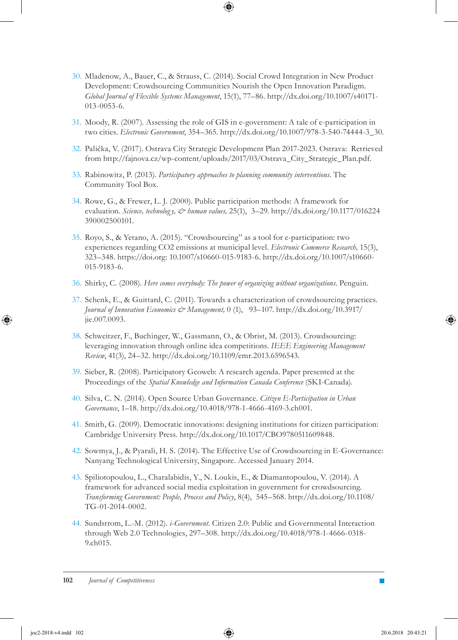- Mladenow, A., Bauer, C., & Strauss, C. (2014). Social Crowd Integration in New Product 30. Development: Crowdsourcing Communities Nourish the Open Innovation Paradigm. *Global Journal of Flexible Systems Management*, 15(1), 77–86. http://dx.doi.org/10.1007/s40171- 013-0053-6.
- 31. Moody, R. (2007). Assessing the role of GIS in e-government: A tale of e-participation in two cities. *Electronic Government*, 354–365. http://dx.doi.org/10.1007/978-3-540-74444-3\_30.
- 32. Palička, V. (2017). Ostrava City Strategic Development Plan 2017-2023. Ostrava: Retrieved from http://fajnova.cz/wp-content/uploads/2017/03/Ostrava\_City\_Strategic\_Plan.pdf.
- 33. Rabinowitz, P. (2013). *Participatory approaches to planning community interventions*. The Community Tool Box.
- 34. Rowe, G., & Frewer, L. J. (2000). Public participation methods: A framework for evaluation. *Science, technolog y, & human values,* 25(1), 3–29. http://dx.doi.org/10.1177/016224 390002500101.
- 35. Royo, S., & Yetano, A. (2015). "Crowdsourcing" as a tool for e-participation: two experiences regarding CO2 emissions at municipal level. *Electronic Commerce Research,* 15(3), 323–348. https://doi.org: 10.1007/s10660-015-9183-6. http://dx.doi.org/10.1007/s10660- 015-9183-6.
- 36. Shirky, C. (2008). *Here comes everybody: The power of organizing without organizations*. Penguin.
- 37. Schenk, E., & Guittard, C. (2011). Towards a characterization of crowdsourcing practices. *Journal of Innovation Economics & Management,* 0 (1), 93–107. http://dx.doi.org/10.3917/ jie.007.0093.
- 38. Schweitzer, F., Buchinger, W., Gassmann, O., & Obrist, M. (2013). Crowdsourcing: leveraging innovation through online idea competitions. *IEEE Engineering Management Review*, 41(3), 24–32. http://dx.doi.org/10.1109/emr.2013.6596543.
- 39. Sieber, R. (2008). Participatory Geoweb: A research agenda. Paper presented at the Proceedings of the *Spatial Knowledge and Information Canada Conference* (SKI-Canada).
- Silva, C. N. (2014). Open Source Urban Governance. *Citizen E-Participation in Urban*  40. *Governance*, 1–18. http://dx.doi.org/10.4018/978-1-4666-4169-3.ch001.
- 41. Smith, G. (2009). Democratic innovations: designing institutions for citizen participation: Cambridge University Press. http://dx.doi.org/10.1017/CBO9780511609848.
- 42. Sowmya, J., & Pyarali, H. S. (2014). The Effective Use of Crowdsourcing in E-Governance: Nanyang Technological University, Singapore. Accessed January 2014.
- 43. Spiliotopoulou, L., Charalabidis, Y., N. Loukis, E., & Diamantopoulou, V. (2014). A framework for advanced social media exploitation in government for crowdsourcing. *Transforming Government: People, Process and Policy*, 8(4), 545–568. http://dx.doi.org/10.1108/ TG-01-2014-0002.
- 44. Sundstrom, L.-M. (2012). *i-Government*. Citizen 2.0: Public and Governmental Interaction through Web 2.0 Technologies, 297–308. http://dx.doi.org/10.4018/978-1-4666-0318- 9.ch015.

↔